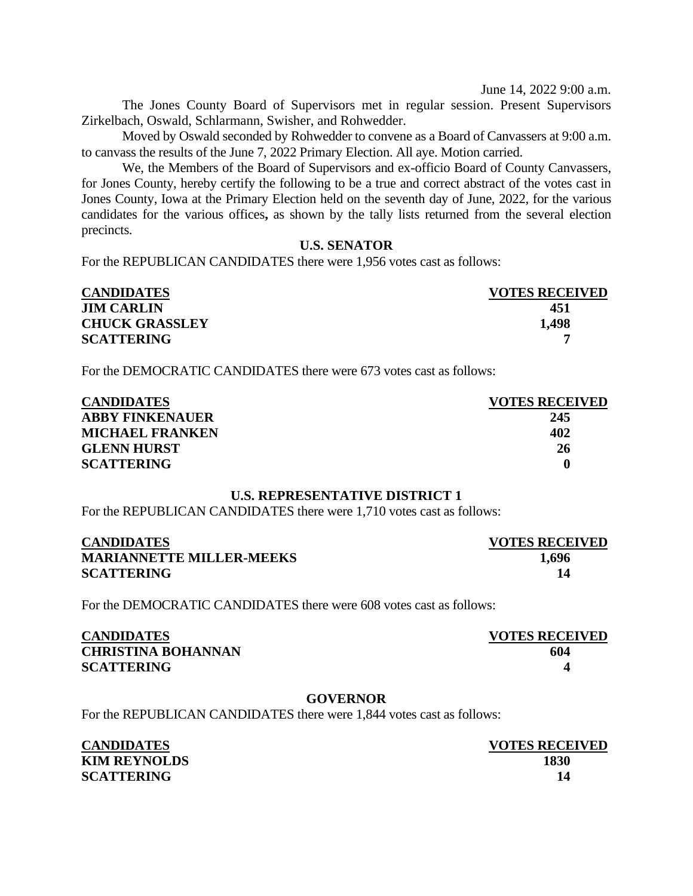June 14, 2022 9:00 a.m.

The Jones County Board of Supervisors met in regular session. Present Supervisors Zirkelbach, Oswald, Schlarmann, Swisher, and Rohwedder.

Moved by Oswald seconded by Rohwedder to convene as a Board of Canvassers at 9:00 a.m. to canvass the results of the June 7, 2022 Primary Election. All aye. Motion carried.

We, the Members of the Board of Supervisors and ex-officio Board of County Canvassers, for Jones County, hereby certify the following to be a true and correct abstract of the votes cast in Jones County, Iowa at the Primary Election held on the seventh day of June, 2022, for the various candidates for the various offices**,** as shown by the tally lists returned from the several election precincts.

## **U.S. SENATOR**

For the REPUBLICAN CANDIDATES there were 1,956 votes cast as follows:

| <b>CANDIDATES</b>     | <b>VOTES RECEIVED</b> |
|-----------------------|-----------------------|
| <b>JIM CARLIN</b>     | 451                   |
| <b>CHUCK GRASSLEY</b> | 1,498                 |
| <b>SCATTERING</b>     |                       |

For the DEMOCRATIC CANDIDATES there were 673 votes cast as follows:

| <b>CANDIDATES</b>      | <b>VOTES RECEIVED</b> |
|------------------------|-----------------------|
| <b>ABBY FINKENAUER</b> | 245                   |
| <b>MICHAEL FRANKEN</b> | 402                   |
| <b>GLENN HURST</b>     | 26                    |
| <b>SCATTERING</b>      |                       |

## **U.S. REPRESENTATIVE DISTRICT 1**

For the REPUBLICAN CANDIDATES there were 1,710 votes cast as follows:

| <b>CANDIDATES</b>               | <b>VOTES RECEIVED</b> |
|---------------------------------|-----------------------|
| <b>MARIANNETTE MILLER-MEEKS</b> | 1,696                 |
| <b>SCATTERING</b>               |                       |

For the DEMOCRATIC CANDIDATES there were 608 votes cast as follows:

| <b>CANDIDATES</b>         | <b>VOTES RECEIVED</b> |
|---------------------------|-----------------------|
| <b>CHRISTINA BOHANNAN</b> | 604                   |
| <b>SCATTERING</b>         |                       |

### **GOVERNOR**

For the REPUBLICAN CANDIDATES there were 1,844 votes cast as follows:

| <b>CANDIDATES</b>   | <b>VOTES RECEIVED</b> |
|---------------------|-----------------------|
| <b>KIM REYNOLDS</b> | 1830                  |
| <b>SCATTERING</b>   |                       |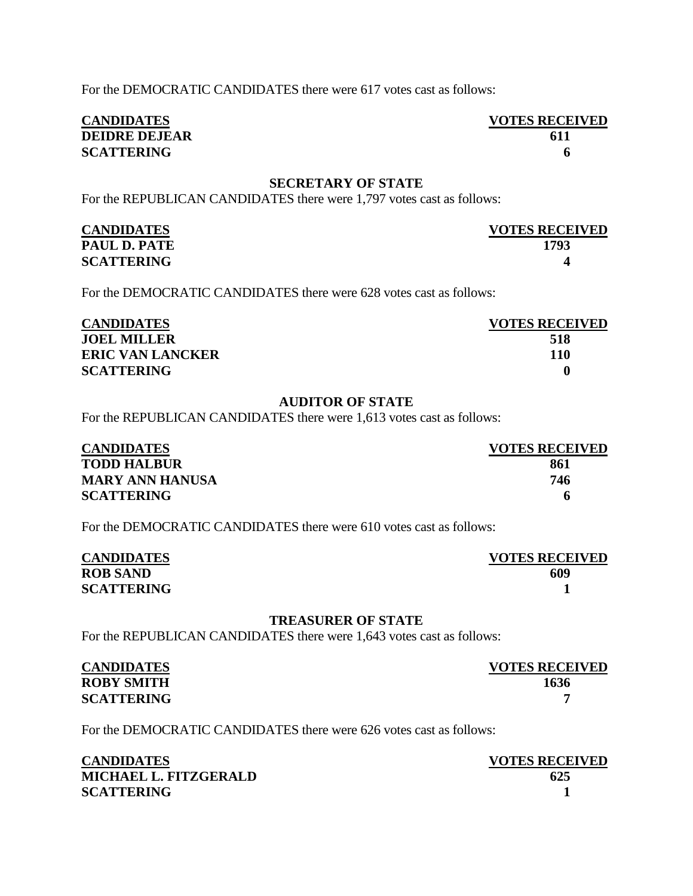For the DEMOCRATIC CANDIDATES there were 617 votes cast as follows:

**CANDIDATES VOTES RECEIVED DEIDRE DEJEAR 611 SCATTERING 6**

## **SECRETARY OF STATE**

For the REPUBLICAN CANDIDATES there were 1,797 votes cast as follows:

| <b>CANDIDATES</b>   | <b>VOTES RECEIVED</b> |
|---------------------|-----------------------|
| <b>PAUL D. PATE</b> | 1793                  |
| <b>SCATTERING</b>   |                       |

For the DEMOCRATIC CANDIDATES there were 628 votes cast as follows:

| <b>CANDIDATES</b>       | <b>VOTES RECEIVED</b> |
|-------------------------|-----------------------|
| <b>JOEL MILLER</b>      | 518                   |
| <b>ERIC VAN LANCKER</b> | 110                   |
| <b>SCATTERING</b>       |                       |

## **AUDITOR OF STATE**

For the REPUBLICAN CANDIDATES there were 1,613 votes cast as follows:

| <b>CANDIDATES</b>      | <b>VOTES RECEIVED</b> |
|------------------------|-----------------------|
| <b>TODD HALBUR</b>     | 861                   |
| <b>MARY ANN HANUSA</b> | 746                   |
| <b>SCATTERING</b>      |                       |

For the DEMOCRATIC CANDIDATES there were 610 votes cast as follows:

| <b>CANDIDATES</b> | <b>VOTES RECEIVED</b> |
|-------------------|-----------------------|
| <b>ROB SAND</b>   | 609                   |
| <b>SCATTERING</b> |                       |

### **TREASURER OF STATE**

For the REPUBLICAN CANDIDATES there were 1,643 votes cast as follows:

| <b>CANDIDATES</b> | <b>VOTES RECEIVED</b> |
|-------------------|-----------------------|
| <b>ROBY SMITH</b> | 1636                  |
| <b>SCATTERING</b> |                       |

For the DEMOCRATIC CANDIDATES there were 626 votes cast as follows:

| <b>CANDIDATES</b>     | <b>VOTES RECEIVED</b> |
|-----------------------|-----------------------|
| MICHAEL L. FITZGERALD | 625                   |
| <b>SCATTERING</b>     |                       |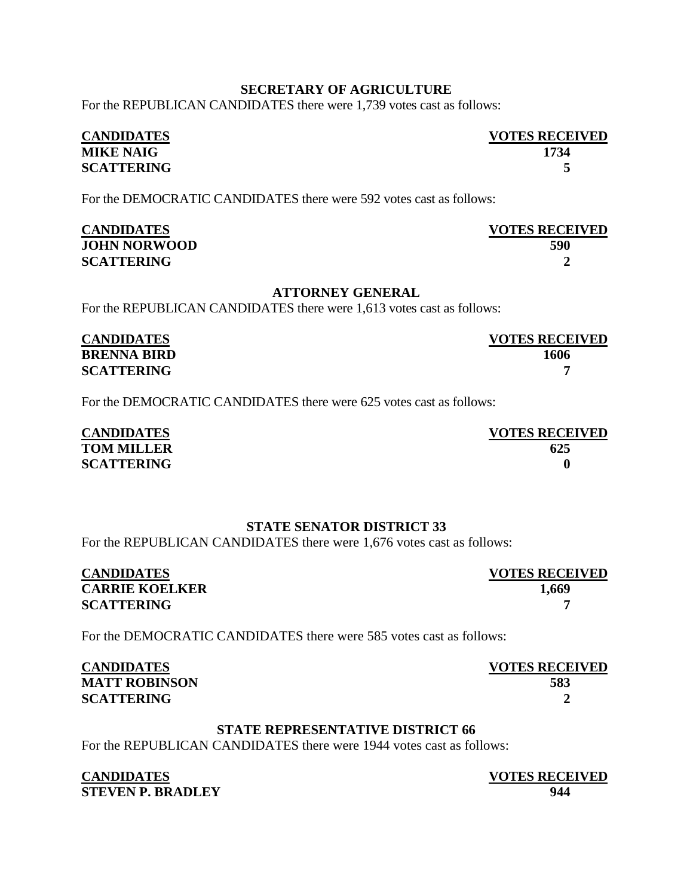## **SECRETARY OF AGRICULTURE**

For the REPUBLICAN CANDIDATES there were 1,739 votes cast as follows:

## **CANDIDATES VOTES RECEIVED MIKE NAIG 1734 SCATTERING 5**

For the DEMOCRATIC CANDIDATES there were 592 votes cast as follows:

| <b>CANDIDATES</b>   | <b>VOTES RECEIVED</b> |
|---------------------|-----------------------|
| <b>JOHN NORWOOD</b> | 590                   |
| <b>SCATTERING</b>   |                       |

## **ATTORNEY GENERAL**

For the REPUBLICAN CANDIDATES there were 1,613 votes cast as follows:

| <b>CANDIDATES</b>  | <b>VOTES RECEIVED</b> |
|--------------------|-----------------------|
| <b>BRENNA BIRD</b> | 1606                  |
| <b>SCATTERING</b>  |                       |

For the DEMOCRATIC CANDIDATES there were 625 votes cast as follows:

| <b>CANDIDATES</b> | <b>VOTES RECEIVED</b> |
|-------------------|-----------------------|
| <b>TOM MILLER</b> | 625                   |
| <b>SCATTERING</b> |                       |

### **STATE SENATOR DISTRICT 33**

For the REPUBLICAN CANDIDATES there were 1,676 votes cast as follows:

| <b>CANDIDATES</b>     | <b>VOTES RECEIVED</b> |
|-----------------------|-----------------------|
| <b>CARRIE KOELKER</b> | 1,669                 |
| <b>SCATTERING</b>     |                       |

For the DEMOCRATIC CANDIDATES there were 585 votes cast as follows:

| <b>CANDIDATES</b>    | <b>VOTES RECEIVED</b> |
|----------------------|-----------------------|
| <b>MATT ROBINSON</b> | 583                   |
| <b>SCATTERING</b>    |                       |

### **STATE REPRESENTATIVE DISTRICT 66**

For the REPUBLICAN CANDIDATES there were 1944 votes cast as follows:

## **CANDIDATES VOTES RECEIVED STEVEN P. BRADLEY 944**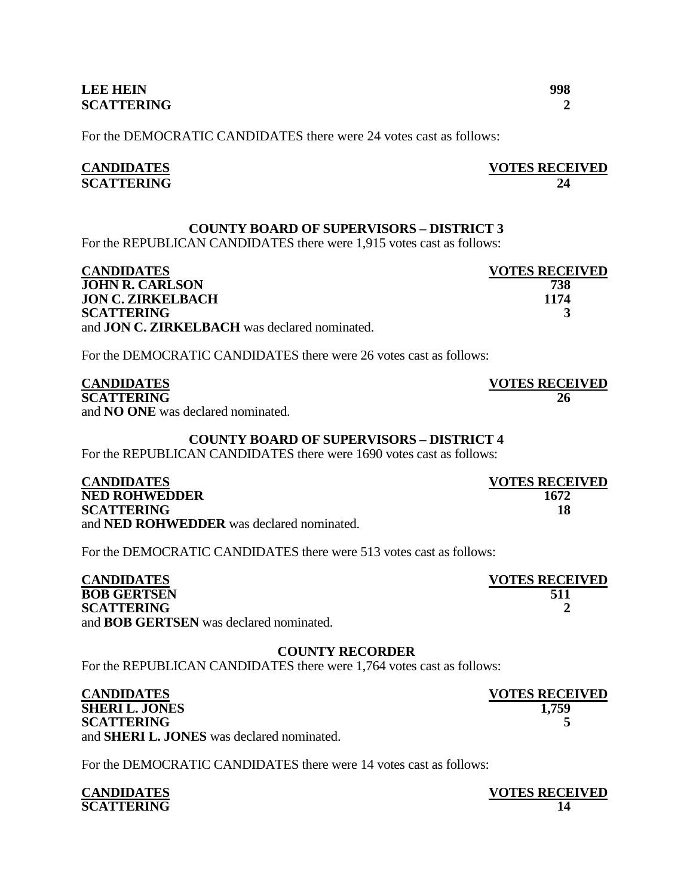| <b>LEE HEIN</b>   | 998 |
|-------------------|-----|
| <b>SCATTERING</b> |     |

For the DEMOCRATIC CANDIDATES there were 24 votes cast as follows:

**CANDIDATES VOTES RECEIVED SCATTERING 24**

### **COUNTY BOARD OF SUPERVISORS – DISTRICT 3**

For the REPUBLICAN CANDIDATES there were 1,915 votes cast as follows:

| <b>CANDIDATES</b>                                    | <b>VOTES RECEIVED</b> |
|------------------------------------------------------|-----------------------|
| <b>JOHN R. CARLSON</b>                               | 738                   |
| <b>JON C. ZIRKELBACH</b>                             | 1174                  |
| <b>SCATTERING</b>                                    |                       |
| and <b>JON C. ZIRKELBACH</b> was declared nominated. |                       |

For the DEMOCRATIC CANDIDATES there were 26 votes cast as follows:

| <b>CANDIDATES</b>                         | <b>VOTES RECEIVED</b> |
|-------------------------------------------|-----------------------|
| <b>SCATTERING</b>                         | 26                    |
| and <b>NO ONE</b> was declared nominated. |                       |

### **COUNTY BOARD OF SUPERVISORS – DISTRICT 4**

For the REPUBLICAN CANDIDATES there were 1690 votes cast as follows:

| <b>CANDIDATES</b>                                | <b>VOTES RECEIVED</b> |
|--------------------------------------------------|-----------------------|
| <b>NED ROHWEDDER</b>                             | 1672                  |
| <b>SCATTERING</b>                                | 18                    |
| and <b>NED ROHWEDDER</b> was declared nominated. |                       |

For the DEMOCRATIC CANDIDATES there were 513 votes cast as follows:

| <b>CANDIDATES</b>                              | <b>VOTES RECEIVED</b> |
|------------------------------------------------|-----------------------|
| <b>BOB GERTSEN</b>                             | 511                   |
| <b>SCATTERING</b>                              |                       |
| and <b>BOB GERTSEN</b> was declared nominated. |                       |

### **COUNTY RECORDER**

For the REPUBLICAN CANDIDATES there were 1,764 votes cast as follows:

| <b>CANDIDATES</b>                                 | <b>VOTES RECEIVED</b> |
|---------------------------------------------------|-----------------------|
| <b>SHERI L. JONES</b>                             | 1,759                 |
| <b>SCATTERING</b>                                 |                       |
| and <b>SHERI L. JONES</b> was declared nominated. |                       |

For the DEMOCRATIC CANDIDATES there were 14 votes cast as follows:

| <b>CANDIDATES</b> | <b>VOTES RECH</b> |
|-------------------|-------------------|
| <b>SCATTERING</b> |                   |

**CANDIDATES VOTES RECEIVED**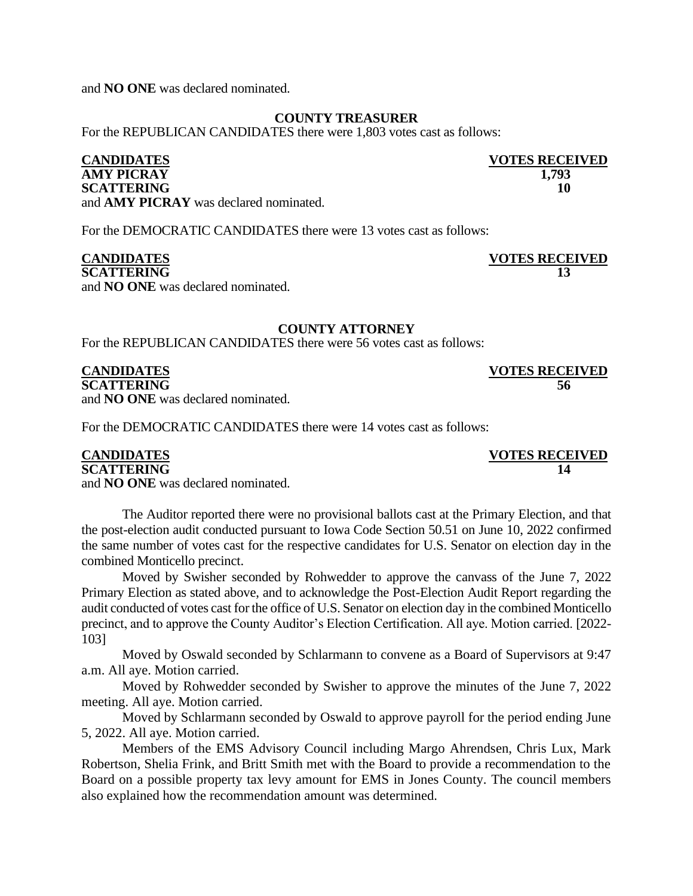and **NO ONE** was declared nominated.

## **COUNTY TREASURER**

For the REPUBLICAN CANDIDATES there were 1,803 votes cast as follows:

**CANDIDATES VOTES RECEIVED AMY PICRAY SCATTERING 10** and **AMY PICRAY** was declared nominated.

For the DEMOCRATIC CANDIDATES there were 13 votes cast as follows:

# **CANDIDATES VOTES RECEIVED**

**SCATTERING** and **NO ONE** was declared nominated.

### **COUNTY ATTORNEY**

For the REPUBLICAN CANDIDATES there were 56 votes cast as follows:

**CANDIDATES VOTES RECEIVED SCATTERING** 56

and **NO ONE** was declared nominated.

For the DEMOCRATIC CANDIDATES there were 14 votes cast as follows:

**CANDIDATES VOTES RECEIVED SCATTERING** 14

and **NO ONE** was declared nominated.

The Auditor reported there were no provisional ballots cast at the Primary Election, and that the post-election audit conducted pursuant to Iowa Code Section 50.51 on June 10, 2022 confirmed the same number of votes cast for the respective candidates for U.S. Senator on election day in the combined Monticello precinct.

Moved by Swisher seconded by Rohwedder to approve the canvass of the June 7, 2022 Primary Election as stated above, and to acknowledge the Post-Election Audit Report regarding the audit conducted of votes cast for the office of U.S. Senator on election day in the combined Monticello precinct, and to approve the County Auditor's Election Certification. All aye. Motion carried. [2022- 103]

Moved by Oswald seconded by Schlarmann to convene as a Board of Supervisors at 9:47 a.m. All aye. Motion carried.

Moved by Rohwedder seconded by Swisher to approve the minutes of the June 7, 2022 meeting. All aye. Motion carried.

Moved by Schlarmann seconded by Oswald to approve payroll for the period ending June 5, 2022. All aye. Motion carried.

Members of the EMS Advisory Council including Margo Ahrendsen, Chris Lux, Mark Robertson, Shelia Frink, and Britt Smith met with the Board to provide a recommendation to the Board on a possible property tax levy amount for EMS in Jones County. The council members also explained how the recommendation amount was determined.